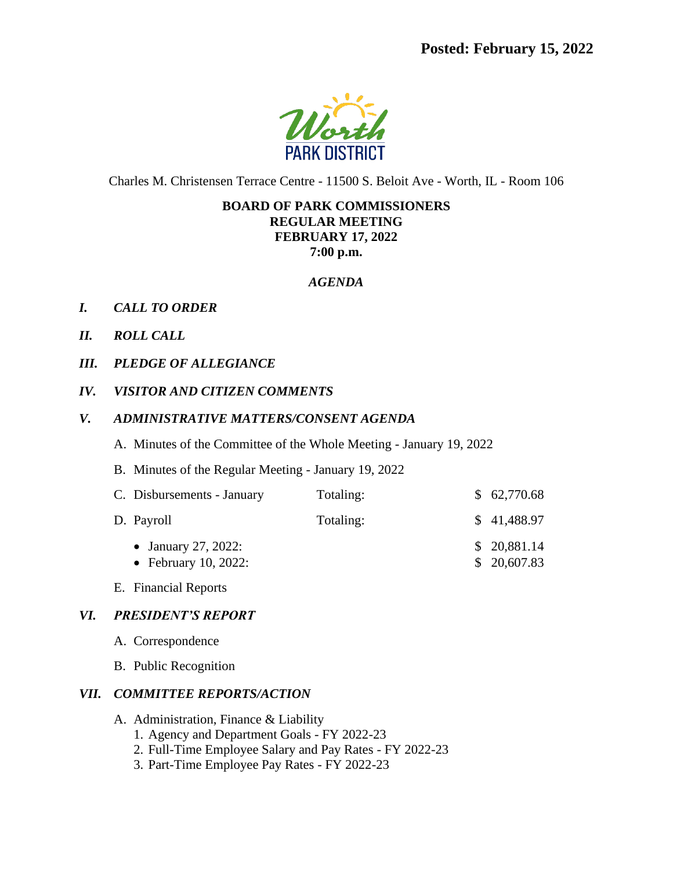

Charles M. Christensen Terrace Centre - 11500 S. Beloit Ave - Worth, IL - Room 106

### **BOARD OF PARK COMMISSIONERS REGULAR MEETING FEBRUARY 17, 2022 7:00 p.m.**

#### *AGENDA*

- *I. CALL TO ORDER*
- *II. ROLL CALL*
- *III. PLEDGE OF ALLEGIANCE*
- *IV. VISITOR AND CITIZEN COMMENTS*

#### *V. ADMINISTRATIVE MATTERS/CONSENT AGENDA*

- A. Minutes of the Committee of the Whole Meeting January 19, 2022
- B. Minutes of the Regular Meeting January 19, 2022

| C. Disbursements - January                  | Totaling: | \$62,770.68                |
|---------------------------------------------|-----------|----------------------------|
| D. Payroll                                  | Totaling: | \$41,488.97                |
| • January 27, 2022:<br>• February 10, 2022: |           | \$20,881.14<br>\$20,607.83 |

E. Financial Reports

#### *VI. PRESIDENT'S REPORT*

- A. Correspondence
- B. Public Recognition

#### *VII. COMMITTEE REPORTS/ACTION*

- A. Administration, Finance & Liability
	- 1. Agency and Department Goals FY 2022-23
	- 2. Full-Time Employee Salary and Pay Rates FY 2022-23
	- 3. Part-Time Employee Pay Rates FY 2022-23